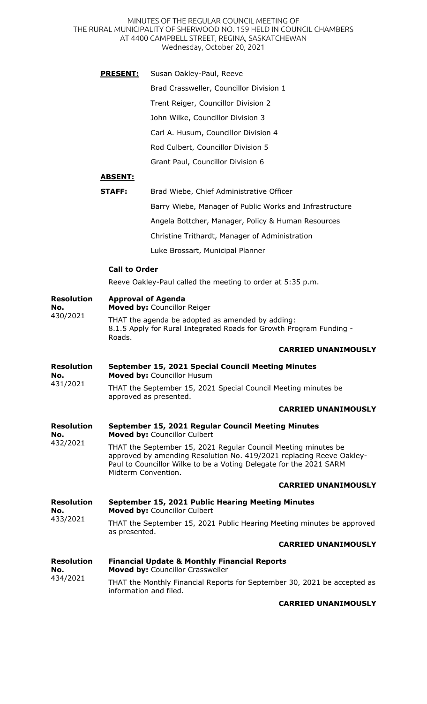MINUTES OF THE REGULAR COUNCIL MEETING OF THE RURAL MUNICIPALITY OF SHERWOOD NO. 159 HELD IN COUNCIL CHAMBERS AT 4400 CAMPBELL STREET, REGINA, SASKATCHEWAN Wednesday, October 20, 2021

- **PRESENT:** Susan Oakley-Paul, Reeve
	- Brad Crassweller, Councillor Division 1

Trent Reiger, Councillor Division 2

John Wilke, Councillor Division 3

Carl A. Husum, Councillor Division 4

Rod Culbert, Councillor Division 5

Grant Paul, Councillor Division 6

# **ABSENT:**

| STAFF: | Brad Wiebe, Chief Administrative Officer                |
|--------|---------------------------------------------------------|
|        | Barry Wiebe, Manager of Public Works and Infrastructure |
|        | Angela Bottcher, Manager, Policy & Human Resources      |
|        | Christine Trithardt, Manager of Administration          |
|        | Luke Brossart, Municipal Planner                        |

## **Call to Order**

Reeve Oakley-Paul called the meeting to order at 5:35 p.m.

| <b>Resolution</b><br>No.<br>430/2021 | <b>Approval of Agenda</b><br>Moved by: Councillor Reiger                                                                                                                                                                            |
|--------------------------------------|-------------------------------------------------------------------------------------------------------------------------------------------------------------------------------------------------------------------------------------|
|                                      | THAT the agenda be adopted as amended by adding:<br>8.1.5 Apply for Rural Integrated Roads for Growth Program Funding -<br>Roads.                                                                                                   |
|                                      | <b>CARRIED UNANIMOUSLY</b>                                                                                                                                                                                                          |
| <b>Resolution</b><br>No.<br>431/2021 | September 15, 2021 Special Council Meeting Minutes<br>Moved by: Councillor Husum                                                                                                                                                    |
|                                      | THAT the September 15, 2021 Special Council Meeting minutes be<br>approved as presented.                                                                                                                                            |
|                                      | <b>CARRIED UNANIMOUSLY</b>                                                                                                                                                                                                          |
| <b>Resolution</b><br>No.<br>432/2021 | September 15, 2021 Regular Council Meeting Minutes<br>Moved by: Councillor Culbert                                                                                                                                                  |
|                                      | THAT the September 15, 2021 Regular Council Meeting minutes be<br>approved by amending Resolution No. 419/2021 replacing Reeve Oakley-<br>Paul to Councillor Wilke to be a Voting Delegate for the 2021 SARM<br>Midterm Convention. |
|                                      | <b>CARRIED UNANIMOUSLY</b>                                                                                                                                                                                                          |
| <b>Resolution</b><br>No.<br>433/2021 | September 15, 2021 Public Hearing Meeting Minutes<br>Moved by: Councillor Culbert                                                                                                                                                   |
|                                      | THAT the September 15, 2021 Public Hearing Meeting minutes be approved<br>as presented.                                                                                                                                             |
|                                      | <b>CARRIED UNANIMOUSLY</b>                                                                                                                                                                                                          |
| <b>Resolution</b><br>No.<br>434/2021 | <b>Financial Update &amp; Monthly Financial Reports</b><br>Moved by: Councillor Crassweller                                                                                                                                         |
|                                      | THAT the Monthly Financial Reports for September 30, 2021 be accepted as<br>information and filed.                                                                                                                                  |

### **CARRIED UNANIMOUSLY**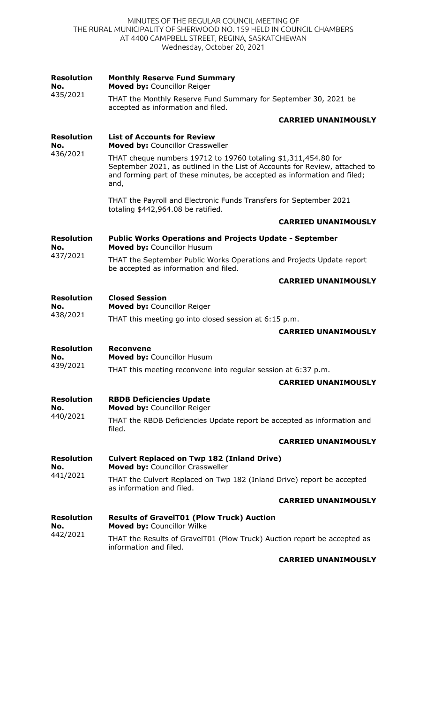#### MINUTES OF THE REGULAR COUNCIL MEETING OF THE RURAL MUNICIPALITY OF SHERWOOD NO. 159 HELD IN COUNCIL CHAMBERS AT 4400 CAMPBELL STREET, REGINA, SASKATCHEWAN Wednesday, October 20, 2021

| <b>Resolution</b><br>No.<br>435/2021 | <b>Monthly Reserve Fund Summary</b><br>Moved by: Councillor Reiger                                                                                                                                                                |
|--------------------------------------|-----------------------------------------------------------------------------------------------------------------------------------------------------------------------------------------------------------------------------------|
|                                      | THAT the Monthly Reserve Fund Summary for September 30, 2021 be<br>accepted as information and filed.                                                                                                                             |
|                                      | <b>CARRIED UNANIMOUSLY</b>                                                                                                                                                                                                        |
| <b>Resolution</b><br>No.<br>436/2021 | <b>List of Accounts for Review</b><br>Moved by: Councillor Crassweller                                                                                                                                                            |
|                                      | THAT cheque numbers 19712 to 19760 totaling \$1,311,454.80 for<br>September 2021, as outlined in the List of Accounts for Review, attached to<br>and forming part of these minutes, be accepted as information and filed;<br>and, |
|                                      | THAT the Payroll and Electronic Funds Transfers for September 2021<br>totaling \$442,964.08 be ratified.                                                                                                                          |
|                                      | <b>CARRIED UNANIMOUSLY</b>                                                                                                                                                                                                        |
| <b>Resolution</b><br>No.             | <b>Public Works Operations and Projects Update - September</b><br>Moved by: Councillor Husum                                                                                                                                      |
| 437/2021                             | THAT the September Public Works Operations and Projects Update report<br>be accepted as information and filed.                                                                                                                    |
|                                      | <b>CARRIED UNANIMOUSLY</b>                                                                                                                                                                                                        |
| <b>Resolution</b><br>No.             | <b>Closed Session</b><br>Moved by: Councillor Reiger                                                                                                                                                                              |
| 438/2021                             | THAT this meeting go into closed session at 6:15 p.m.                                                                                                                                                                             |
|                                      | <b>CARRIED UNANIMOUSLY</b>                                                                                                                                                                                                        |
| <b>Resolution</b><br>No.<br>439/2021 | <b>Reconvene</b><br>Moved by: Councillor Husum                                                                                                                                                                                    |
|                                      | THAT this meeting reconvene into regular session at 6:37 p.m.                                                                                                                                                                     |
|                                      | <b>CARRIED UNANIMOUSLY</b>                                                                                                                                                                                                        |
| <b>Resolution</b><br>No.<br>440/2021 | <b>RBDB Deficiencies Update</b><br>Moved by: Councillor Reiger                                                                                                                                                                    |
|                                      | THAT the RBDB Deficiencies Update report be accepted as information and<br>filed.                                                                                                                                                 |
|                                      | <b>CARRIED UNANIMOUSLY</b>                                                                                                                                                                                                        |
| <b>Resolution</b><br>No.<br>441/2021 | <b>Culvert Replaced on Twp 182 (Inland Drive)</b><br>Moved by: Councillor Crassweller                                                                                                                                             |
|                                      | THAT the Culvert Replaced on Twp 182 (Inland Drive) report be accepted<br>as information and filed.                                                                                                                               |
|                                      | <b>CARRIED UNANIMOUSLY</b>                                                                                                                                                                                                        |
| <b>Resolution</b><br>No.<br>442/2021 | <b>Results of GravelT01 (Plow Truck) Auction</b><br>Moved by: Councillor Wilke                                                                                                                                                    |
|                                      | THAT the Results of GravelT01 (Plow Truck) Auction report be accepted as<br>information and filed.                                                                                                                                |
|                                      | <b>CARRIED UNANIMOUSLY</b>                                                                                                                                                                                                        |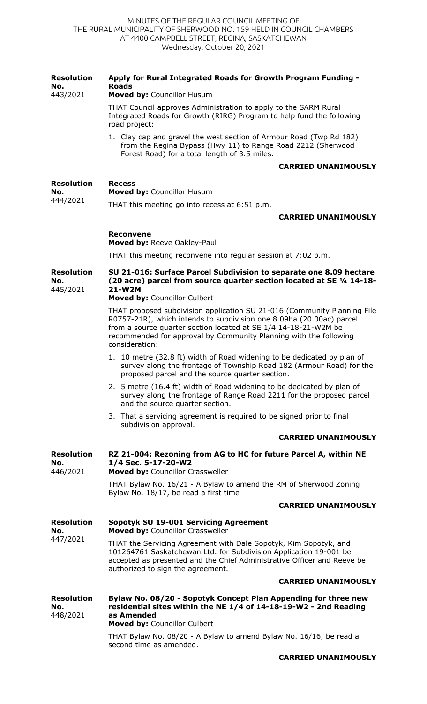| <b>Resolution</b><br>No.<br>443/2021 | Apply for Rural Integrated Roads for Growth Program Funding -<br><b>Roads</b><br>Moved by: Councillor Husum                                                                                                                                           |
|--------------------------------------|-------------------------------------------------------------------------------------------------------------------------------------------------------------------------------------------------------------------------------------------------------|
|                                      | THAT Council approves Administration to apply to the SARM Rural<br>Integrated Roads for Growth (RIRG) Program to help fund the following<br>road project:                                                                                             |
|                                      | 1. Clay cap and gravel the west section of Armour Road (Twp Rd 182)<br>from the Regina Bypass (Hwy 11) to Range Road 2212 (Sherwood<br>Forest Road) for a total length of 3.5 miles.                                                                  |
|                                      | <b>CARRIED UNANIMOUSLY</b>                                                                                                                                                                                                                            |
| <b>Resolution</b><br>No.<br>444/2021 | <b>Recess</b><br>Moved by: Councillor Husum                                                                                                                                                                                                           |
|                                      | THAT this meeting go into recess at 6:51 p.m.                                                                                                                                                                                                         |
|                                      | <b>CARRIED UNANIMOUSLY</b>                                                                                                                                                                                                                            |
|                                      | <b>Reconvene</b><br>Moved by: Reeve Oakley-Paul                                                                                                                                                                                                       |
|                                      | THAT this meeting reconvene into regular session at 7:02 p.m.                                                                                                                                                                                         |
| <b>Resolution</b><br>No.<br>445/2021 | SU 21-016: Surface Parcel Subdivision to separate one 8.09 hectare<br>(20 acre) parcel from source quarter section located at SE 1/4 14-18-<br>21-W2M                                                                                                 |
|                                      | Moved by: Councillor Culbert<br>THAT proposed subdivision application SU 21-016 (Community Planning File                                                                                                                                              |
|                                      | R0757-21R), which intends to subdivision one 8.09ha (20.00ac) parcel<br>from a source quarter section located at SE 1/4 14-18-21-W2M be<br>recommended for approval by Community Planning with the following<br>consideration:                        |
|                                      | 1. 10 metre (32.8 ft) width of Road widening to be dedicated by plan of<br>survey along the frontage of Township Road 182 (Armour Road) for the<br>proposed parcel and the source quarter section.                                                    |
|                                      | 2. 5 metre (16.4 ft) width of Road widening to be dedicated by plan of<br>survey along the frontage of Range Road 2211 for the proposed parcel<br>and the source quarter section.                                                                     |
|                                      | 3. That a servicing agreement is required to be signed prior to final<br>subdivision approval.                                                                                                                                                        |
|                                      | <b>CARRIED UNANIMOUSLY</b>                                                                                                                                                                                                                            |
| <b>Resolution</b><br>No.<br>446/2021 | RZ 21-004: Rezoning from AG to HC for future Parcel A, within NE<br>1/4 Sec. 5-17-20-W2<br>Moved by: Councillor Crassweller                                                                                                                           |
|                                      | THAT Bylaw No. 16/21 - A Bylaw to amend the RM of Sherwood Zoning<br>Bylaw No. 18/17, be read a first time                                                                                                                                            |
|                                      | <b>CARRIED UNANIMOUSLY</b>                                                                                                                                                                                                                            |
| <b>Resolution</b><br>No.             | <b>Sopotyk SU 19-001 Servicing Agreement</b><br>Moved by: Councillor Crassweller                                                                                                                                                                      |
| 447/2021                             | THAT the Servicing Agreement with Dale Sopotyk, Kim Sopotyk, and<br>101264761 Saskatchewan Ltd. for Subdivision Application 19-001 be<br>accepted as presented and the Chief Administrative Officer and Reeve be<br>authorized to sign the agreement. |
|                                      | <b>CARRIED UNANIMOUSLY</b>                                                                                                                                                                                                                            |
| <b>Resolution</b><br>No.<br>448/2021 | Bylaw No. 08/20 - Sopotyk Concept Plan Appending for three new<br>residential sites within the NE 1/4 of 14-18-19-W2 - 2nd Reading<br>as Amended<br>Moved by: Councillor Culbert                                                                      |
|                                      | THAT Bylaw No. 08/20 - A Bylaw to amend Bylaw No. 16/16, be read a<br>second time as amended.                                                                                                                                                         |
|                                      | <b>CARRIED UNANIMOUSLY</b>                                                                                                                                                                                                                            |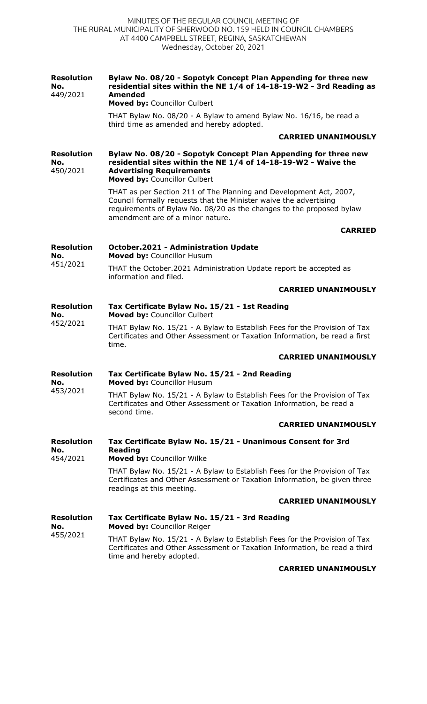| <b>Resolution</b><br>No.<br>449/2021 | Bylaw No. 08/20 - Sopotyk Concept Plan Appending for three new<br>residential sites within the NE 1/4 of 14-18-19-W2 - 3rd Reading as<br><b>Amended</b><br>Moved by: Councillor Culbert                                                             |
|--------------------------------------|-----------------------------------------------------------------------------------------------------------------------------------------------------------------------------------------------------------------------------------------------------|
|                                      | THAT Bylaw No. 08/20 - A Bylaw to amend Bylaw No. 16/16, be read a<br>third time as amended and hereby adopted.                                                                                                                                     |
|                                      | <b>CARRIED UNANIMOUSLY</b>                                                                                                                                                                                                                          |
| <b>Resolution</b><br>No.<br>450/2021 | Bylaw No. 08/20 - Sopotyk Concept Plan Appending for three new<br>residential sites within the NE 1/4 of 14-18-19-W2 - Waive the<br><b>Advertising Requirements</b><br>Moved by: Councillor Culbert                                                 |
|                                      | THAT as per Section 211 of The Planning and Development Act, 2007,<br>Council formally requests that the Minister waive the advertising<br>requirements of Bylaw No. 08/20 as the changes to the proposed bylaw<br>amendment are of a minor nature. |
|                                      | <b>CARRIED</b>                                                                                                                                                                                                                                      |
| <b>Resolution</b><br>No.             | <b>October.2021 - Administration Update</b><br>Moved by: Councillor Husum                                                                                                                                                                           |
| 451/2021                             | THAT the October.2021 Administration Update report be accepted as<br>information and filed.                                                                                                                                                         |
|                                      | <b>CARRIED UNANIMOUSLY</b>                                                                                                                                                                                                                          |
| <b>Resolution</b><br>No.<br>452/2021 | Tax Certificate Bylaw No. 15/21 - 1st Reading<br>Moved by: Councillor Culbert                                                                                                                                                                       |
|                                      | THAT Bylaw No. 15/21 - A Bylaw to Establish Fees for the Provision of Tax<br>Certificates and Other Assessment or Taxation Information, be read a first<br>time.                                                                                    |
|                                      | <b>CARRIED UNANIMOUSLY</b>                                                                                                                                                                                                                          |
| <b>Resolution</b><br>No.<br>453/2021 | Tax Certificate Bylaw No. 15/21 - 2nd Reading<br><b>Moved by: Councillor Husum</b>                                                                                                                                                                  |
|                                      | THAT Bylaw No. 15/21 - A Bylaw to Establish Fees for the Provision of Tax<br>Certificates and Other Assessment or Taxation Information, be read a<br>second time.                                                                                   |
|                                      | <b>CARRIED UNANIMOUSLY</b>                                                                                                                                                                                                                          |
| <b>Resolution</b><br>No.<br>454/2021 | Tax Certificate Bylaw No. 15/21 - Unanimous Consent for 3rd<br><b>Reading</b>                                                                                                                                                                       |
|                                      | Moved by: Councillor Wilke<br>THAT Bylaw No. 15/21 - A Bylaw to Establish Fees for the Provision of Tax                                                                                                                                             |
|                                      | Certificates and Other Assessment or Taxation Information, be given three<br>readings at this meeting.                                                                                                                                              |
|                                      | <b>CARRIED UNANIMOUSLY</b>                                                                                                                                                                                                                          |
| <b>Resolution</b><br>No.<br>455/2021 | Tax Certificate Bylaw No. 15/21 - 3rd Reading<br>Moved by: Councillor Reiger                                                                                                                                                                        |
|                                      | THAT Bylaw No. 15/21 - A Bylaw to Establish Fees for the Provision of Tax<br>Certificates and Other Assessment or Taxation Information, be read a third<br>time and hereby adopted.                                                                 |

## **CARRIED UNANIMOUSLY**